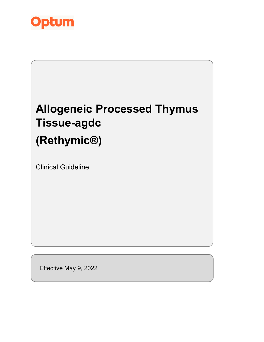

# **Allogeneic Processed Thymus Tissue-agdc (Rethymic®)** Clinical Guideline

Effective May 9, 2022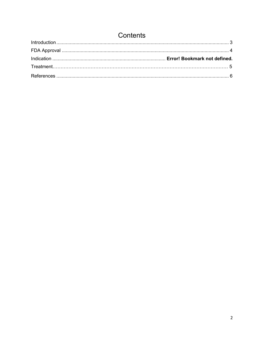# Contents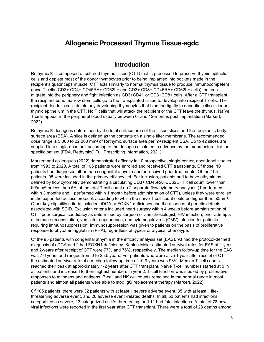# **Allogeneic Processed Thymus Tissue-agdc**

### **Introduction**

<span id="page-2-0"></span>Rethymic ® is composed of cultured thymus tissue (CTT) that is processed to preserve thymic epithelial cells and deplete most of the donor thymocytes prior to being implanted into pockets made in the recipient's quadriceps muscle. CTT acts similarly to normal thymus tissue to produce immunocompetent naïve T cells (CD3+ CD4+ CD45RA+ CD62L+ and CD3+ CD8+ CD45RA+ CD62L+ cells) that can migrate into the periphery and fight infection as CD3+CD4+ or CD3+CD8+ cells. After a CTT transplant, the recipient bone marrow stem cells go to the transplanted tissue to develop into recipient T cells. The recipient dendritic cells delete any developing thymocytes that bind too tightly to dendritic cells or donor thymic epithelium in the CTT. No T cells that will attack the recipient or the CTT leave the thymus. Naïve T cells appear in the peripheral blood usually between 6- and 12-months post implantation (Markert, 2022).

Rethymic ® dosage is determined by the total surface area of the tissue slices and the recipient's body surface area (BSA). A slice is defined as the contents on a single filter membrane. The recommended dose range is 5,000 to 22,000 mm<sup>2</sup> of Rethymic surface area per  $m<sup>2</sup>$  recipient BSA. Up to 42 slices are supplied in a single-dose unit according to the dosage calculated in advance by the manufacturer for the specific patient (FDA, Rethymic® Full Prescribing Information, 2021).

Markert and colleagues (2022) demonstrated efficacy in 10 prospective, single-center, open-label studies from 1993 to 2020. A total of 105 patients were enrolled and received CTT transplants. Of those, 10 patients had diagnoses other than congenital athymia and/or received prior treatments. Of the 105 patients, 95 were included in the primary efficacy set. For inclusion, patients had to have athymia as defined by flow cytometry demonstrating a circulating CD3+ CD45RA+CD62L+ T cell count lower than 50/mm3 or less than 5% of the total T cell count on 2 separate flow cytometry analyses (1 performed within 3 months and 1 performed within 1 month before administration of CTT), unless they were enrolled in the expanded access protocol, according to which the naïve  $T$  cell count could be higher than 50mm<sup>3</sup>. Other key eligibility criteria included cDGA or FOXN1 deficiency and the absence of genetic defects associated with SCID. Exclusion criteria included heart surgery within 4 weeks before administration of CTT, poor surgical candidacy as determined by surgeon or anesthesiologist, HIV infection, prior attempts at immune reconstitution, ventilator dependence, and cytomegalovirus (CMV) infection for patients requiring immunosuppression. Immunosuppression was given to patients on the basis of proliferative response to phytohemagglutinin (PHA), regardless of typical or atypical phenotype.

Of the 95 patients with congenital athymia in the efficacy analysis set (EAS), 93 had the protocol-defined diagnosis of cDGA and 2 had FOXN1 deficiency. Kaplan-Meier estimated survival rates for EAS at 1-year and 2-years after receipt of CTT were 77% and 76%, respectively. The median follow-up time for the EAS was 7.6 years and ranged from 0 to 25.5 years. For patients who were alive 1 year after receipt of CTT, the estimated survival rate at a median follow-up time of 10.9 years was 93%. Median T-cell counts reached their peak at approximately 1-2 years after CTT transplant. Naïve T-cell numbers started at 0 in all patients and increased to their highest numbers in year 2. T-cell function was studied by proliferative responses to mitogens and antigens. B-cell and NK cell counts remained in the normal range in most patients and almost all patients were able to stop IgG replacement therapy (Markert, 2022).

Of 105 patients, there were 32 patients with at least 1 severe adverse event, 35 with at least 1 lifethreatening adverse event, and 26 adverse event -related deaths. In all, 53 patients had infections categorized as severe, 13 categorized as life-threatening, and 11 had fatal infections. A total of 78 new viral infections were reported in the first year after CTT transplant. There were a total of 28 deaths among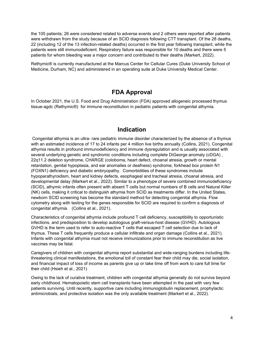the 105 patients; 26 were considered related to adverse events and 2 others were reported after patients were withdrawn from the study because of an SCID diagnosis following CTT transplant. Of the 28 deaths, 22 (including 12 of the 13 infection-related deaths) occurred in the first year following transplant, while the patients were still immunodeficient. Respiratory failure was responsible for 10 deaths and there were 5 patients for whom bleeding was a major concern and contributed to their deaths (Markert, 2022).

Rethymic® is currently manufactured at the Marcus Center for Cellular Cures (Duke University School of Medicine, Durham, NC) and administered in an operating suite at Duke University Medical Center.

# **FDA Approval**

<span id="page-3-0"></span>In October 2021, the U.S. Food and Drug Administration (FDA) approved allogeneic processed thymus tissue-agdc (Rethymic®) for immune reconstitution in pediatric patients with congenital athymia.

### **Indication**

Congenital athymia is an ultra- rare pediatric immune disorder characterized by the absence of a thymus with an estimated incidence of 17 to 24 infants per 4 million live births annually (Collins, 2021). Congenital athymia results in profound immunodeficiency and immune dysregulation and is usually associated with several underlying genetic and syndromic conditions including complete DiGeorge anomaly (cDGA) , 22q11.2 deletion syndrome, CHARGE (coloboma, heart defect, choanal atresia, growth or mental retardation, genital hypoplasia, and ear anomalies or deafness) syndrome, forkhead box protein N1 (FOXN1) deficiency and diabetic embryopathy. Comorbidities of these syndromes include hypoparathyroidism, heart and kidney defects, esophageal and tracheal atresia, choanal atresia, and developmental delay (Markert et al., 2022). Similar to a phenotype of severe combined immunodeficiency (SCID), athymic infants often present with absent T cells but normal numbers of B cells and Natural Killer (NK) cells, making it critical to distinguish athymia from SCID as treatments differ. In the United States, newborn SCID screening has become the standard method for detecting congenital athymia. Flow cytometry along with testing for the genes responsible for SCID are required to confirm a diagnosis of congenital athymia. (Collins et al., 2021).

Characteristics of congenital athymia include profound T cell deficiency, susceptibility to opportunistic infections, and predisposition to develop autologous graft-versus-host disease (GVHD). Autologous GVHD is the term used to refer to auto-reactive T cells that escaped T cell selection due to lack of thymus. These T cells frequently produce a cellular infiltrate and organ damage (Collins et al., 2021). Infants with congenital athymia must not receive immunizations prior to immune reconstitution as live vaccines may be fatal.

Caregivers of children with congenital athymia report substantial and wide-ranging burdens including lifethreatening clinical manifestations, the emotional toll of constant fear their child may die, social isolation, and financial impact of loss of income as parents give up or take time off from work to care full time for their child (Hsieh et al., 2021)

Owing to the lack of curative treatment, children with congenital athymia generally do not survive beyond early childhood. Hematopoietic stem cell transplants have been attempted in the past with very few patients surviving. Until recently, supportive care including immunoglobulin replacement, prophylactic antimicrobials, and protective isolation was the only available treatment (Markert et al., 2022).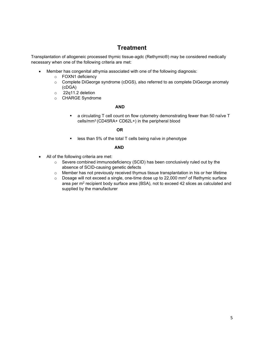# **Treatment**

Transplantation of allogeneic processed thymic tissue-agdc (Rethymic®) may be considered medically necessary when one of the following criteria are met:

- Member has congenital athymia associated with one of the following diagnosis:
	- o FOXN1 deficiency
	- o Complete DiGeorge syndrome (cDGS), also referred to as complete DiGeorge anomaly (cDGA)
	- o 22q11.2 deletion
	- o CHARGE Syndrome

### **AND**

 a circulating T cell count on flow cytometry demonstrating fewer than 50 naïve T cells/mm3 (CD45RA+ CD62L+) in the peripheral blood

### *OR* OR

less than 5% of the total T cells being naïve in phenotype

### **AND**

- <span id="page-4-0"></span>• All of the following criteria are met:
	- o Severe combined immunodeficiency (SCID) has been conclusively ruled out by the absence of SCID-causing genetic defects
	- $\circ$  Member has not previously received thymus tissue transplantation in his or her lifetime<br> $\circ$  Dosage will not exceed a single, one-time dose up to 22,000 mm<sup>2</sup> of Rethymic surface
	- Dosage will not exceed a single, one-time dose up to 22,000 mm<sup>2</sup> of Rethymic surface area per m<sup>2</sup> recipient body surface area (BSA), not to exceed 42 slices as calculated and supplied by the manufacturer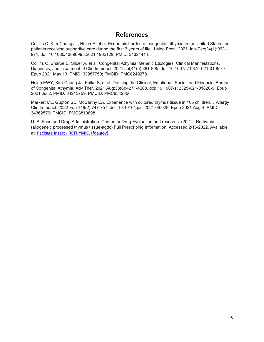### **References**

Collins C, Kim-Chang JJ, Hsieh E, et al. Economic burden of congenital athymia in the United States for patients receiving supportive care during the first 3 years of life. J Med Econ. 2021 Jan-Dec;24(1):962- 971. doi: 10.1080/13696998.2021.1962129. PMID: 34324414.

Collins C, Sharpe E, Silber A, et al. Congenital Athymia: Genetic Etiologies, Clinical Manifestations, Diagnosis, and Treatment. J Clin Immunol. 2021 Jul;41(5):881-895. doi: 10.1007/s10875-021-01059-7. Epub 2021 May 13. PMID: 33987750; PMCID: PMC8249278.

Hsieh EWY, Kim-Chang JJ, Kulke S, et al. Defining the Clinical, Emotional, Social, and Financial Burden of Congenital Athymia. Adv Ther. 2021 Aug;38(8):4271-4288. doi: 10.1007/s12325-021-01820-9. Epub 2021 Jul 2. PMID: 34213759; PMCID: PMC8342356.

Markert ML, Gupton SE, McCarthy EA. Experience with cultured thymus tissue in 105 children. J Allergy Clin Immunol. 2022 Feb;149(2):747-757. doi: 10.1016/j.jaci.2021.06.028. Epub 2021 Aug 4. PMID: 34362576; PMCID: PMC8810898.

U. S. Food and Drug Administration. Center for Drug Evaluation and research. (2021). Rethymic (allogeneic processed thymus tissue-agdc) Full Prescribing Information. Accessed 2/16/2022. Available at: Package Insert - [RETHYMIC. \(fda.gov\)](https://www.fda.gov/media/152912/download#:%7E:text=2.1%20Dosage-,RETHYMIC%20is%20administered%20by%20a%20surgical%20procedure.,variable%20in%20size%20and%20shape.)